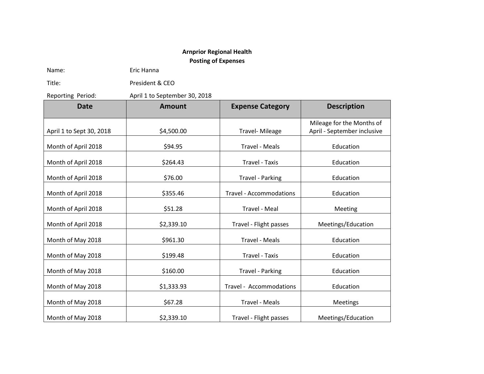## **Arnprior Regional Health**

**Posting of Expenses**

Name: Eric Hanna

Title: President & CEO

Reporting Period: April 1 to September 30, 2018

**Date Amount Expense Category Description** April 1 to Sept 30, 2018 | \$4,500.00 | Travel- Mileage Mileage for the Months of April - September inclusive Month of April 2018 | \$94.95 | Travel - Meals | Education Month of April 2018 | \$264.43 Travel - Taxis | Education Month of April 2018 | \$76.00 | Travel - Parking | Education Month of April 2018 | \$355.46 | Sammodations | \$355.46 | Travel - Accommodations | \$355.46 | \$355.46 | Sammodation Month of April 2018 | \$51.28 | Travel - Meal | Meeting Month of April 2018 | \$2,339.10 | Travel - Flight passes | Meetings/Education Month of May 2018 | \$961.30 | Travel - Meals | Education Month of May 2018 | Signed Assessment Assessment Contract Contract Contract Contract Contract Contract Contract Contract Contract Contract Contract Contract Contract Contract Contract Contract Contract Contract Contract Co Month of May 2018 \$160.00 Travel - Parking Education Month of May 2018 \$1,333.93 Travel - Accommodations Education Month of May 2018 \$67.28 Travel - Meals Meetings Month of May 2018 \$2,339.10 Travel - Flight passes Meetings/Education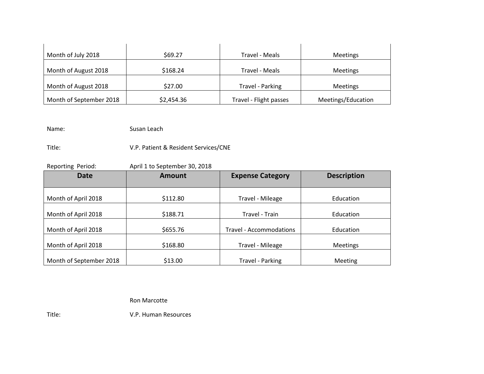| Month of July 2018      | \$69.27    | Travel - Meals         | <b>Meetings</b>    |
|-------------------------|------------|------------------------|--------------------|
| Month of August 2018    | \$168.24   | Travel - Meals         | <b>Meetings</b>    |
| Month of August 2018    | \$27.00    | Travel - Parking       | <b>Meetings</b>    |
| Month of September 2018 | \$2,454.36 | Travel - Flight passes | Meetings/Education |

Name: Susan Leach

Title: V.P. Patient & Resident Services/CNE

Reporting Period: April 1 to September 30, 2018 **Date Amount Expense Category Description** Month of April 2018 | \$112.80 Travel - Mileage  $\qquad$  Education Month of April 2018 | \$188.71 Sensing and the Superintendon Contraction Contraction Month of April 2018 | \$655.76 | Travel - Accommodations | Education Month of April 2018 | \$168.80 | Travel - Mileage | Meetings Month of September 2018 | \$13.00 | Travel - Parking | Meeting

Ron Marcotte

Title: V.P. Human Resources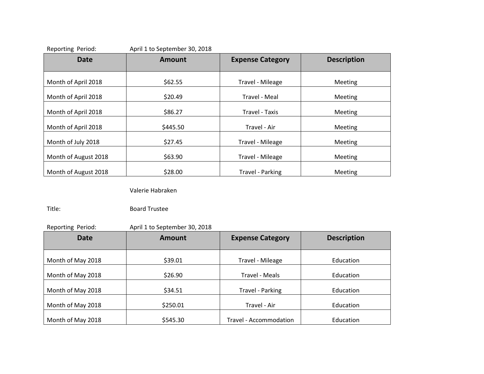| <b>Date</b>          | Amount   | <b>Expense Category</b> | <b>Description</b> |
|----------------------|----------|-------------------------|--------------------|
|                      |          |                         |                    |
| Month of April 2018  | \$62.55  | Travel - Mileage        | <b>Meeting</b>     |
| Month of April 2018  | \$20.49  | Travel - Meal           | Meeting            |
| Month of April 2018  | \$86.27  | Travel - Taxis          | <b>Meeting</b>     |
| Month of April 2018  | \$445.50 | Travel - Air            | Meeting            |
| Month of July 2018   | \$27.45  | Travel - Mileage        | <b>Meeting</b>     |
| Month of August 2018 | \$63.90  | Travel - Mileage        | <b>Meeting</b>     |
| Month of August 2018 | \$28.00  | Travel - Parking        | Meeting            |

Valerie Habraken

Title: Board Trustee

Reporting Period: April 1 to September 30, 2018

| <b>Date</b>       | <b>Amount</b> | <b>Expense Category</b> | <b>Description</b> |
|-------------------|---------------|-------------------------|--------------------|
| Month of May 2018 | \$39.01       | Travel - Mileage        | Education          |
| Month of May 2018 | \$26.90       | Travel - Meals          | Education          |
| Month of May 2018 | \$34.51       | Travel - Parking        | Education          |
| Month of May 2018 | \$250.01      | Travel - Air            | Education          |
| Month of May 2018 | \$545.30      | Travel - Accommodation  | Education          |